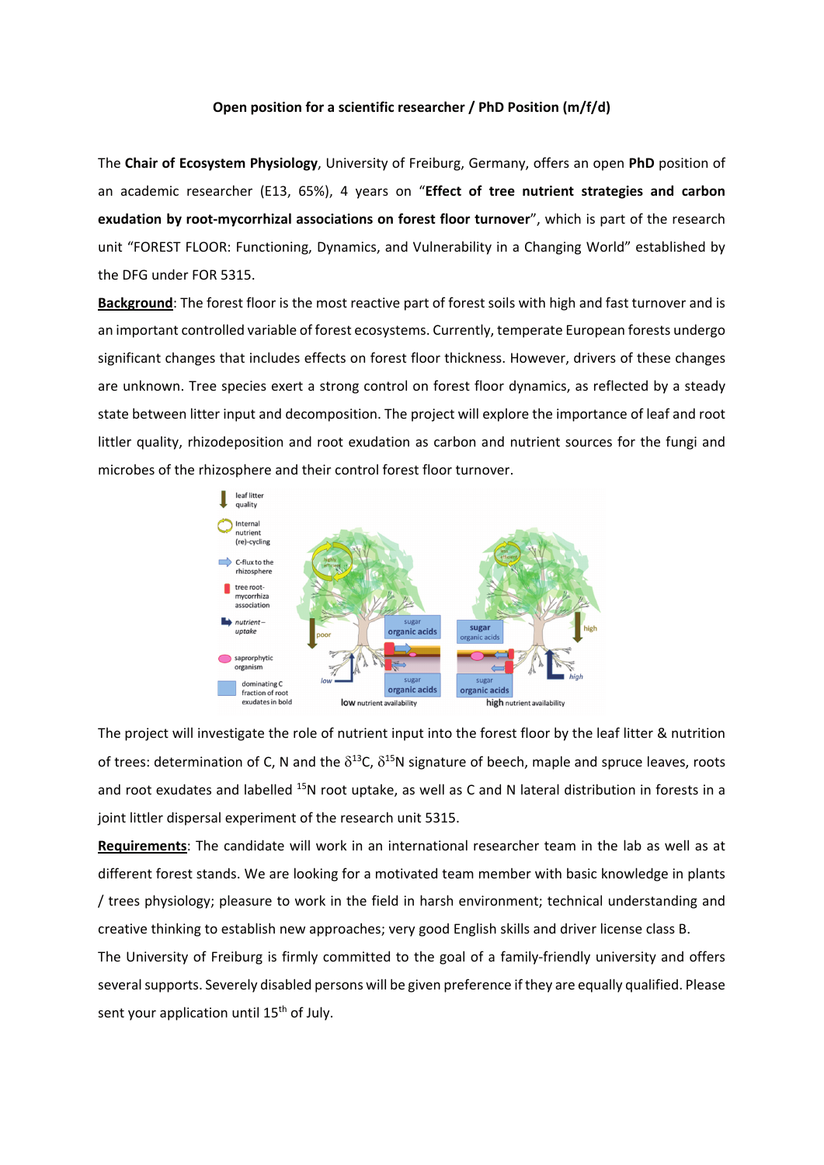## **Open position for a scientific researcher / PhD Position (m/f/d)**

The **Chair of Ecosystem Physiology**, University of Freiburg, Germany, offers an open **PhD** position of an academic researcher (E13, 65%), 4 years on "**Effect of tree nutrient strategies and carbon exudation by root-mycorrhizal associations on forest floor turnover**", which is part of the research unit "FOREST FLOOR: Functioning, Dynamics, and Vulnerability in a Changing World" established by the DFG under FOR 5315.

**Background**: The forest floor is the most reactive part of forest soils with high and fast turnover and is an important controlled variable of forest ecosystems. Currently, temperate European forests undergo significant changes that includes effects on forest floor thickness. However, drivers of these changes are unknown. Tree species exert a strong control on forest floor dynamics, as reflected by a steady state between litter input and decomposition. The project will explore the importance of leaf and root littler quality, rhizodeposition and root exudation as carbon and nutrient sources for the fungi and microbes of the rhizosphere and their control forest floor turnover.



The project will investigate the role of nutrient input into the forest floor by the leaf litter & nutrition of trees: determination of C, N and the  $\delta^{13}$ C,  $\delta^{15}$ N signature of beech, maple and spruce leaves, roots and root exudates and labelled <sup>15</sup>N root uptake, as well as C and N lateral distribution in forests in a joint littler dispersal experiment of the research unit 5315.

**Requirements**: The candidate will work in an international researcher team in the lab as well as at different forest stands. We are looking for a motivated team member with basic knowledge in plants / trees physiology; pleasure to work in the field in harsh environment; technical understanding and creative thinking to establish new approaches; very good English skills and driver license class B.

The University of Freiburg is firmly committed to the goal of a family-friendly university and offers several supports. Severely disabled persons will be given preference if they are equally qualified. Please sent your application until 15<sup>th</sup> of July.